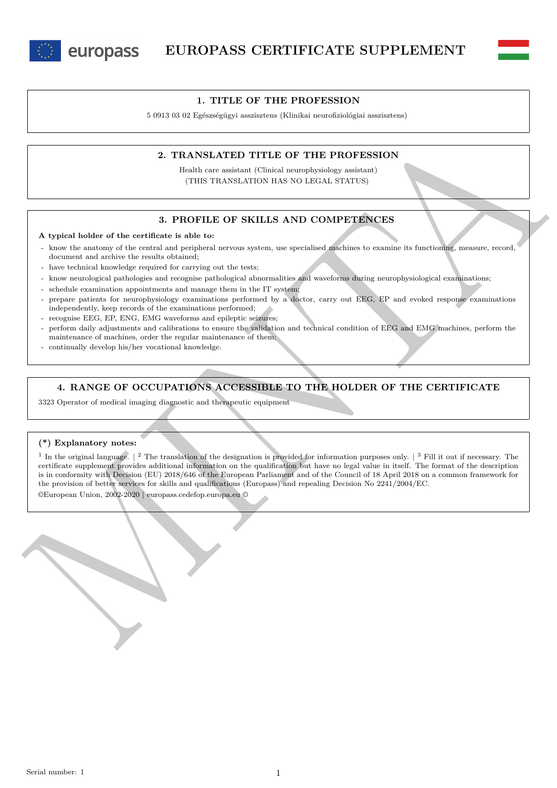



## **1. TITLE OF THE PROFESSION**

5 0913 03 02 Egészségügyi asszisztens (Klinikai neurofiziológiai asszisztens)

### **2. TRANSLATED TITLE OF THE PROFESSION**

Health care assistant (Clinical neurophysiology assistant) (THIS TRANSLATION HAS NO LEGAL STATUS)

## **3. PROFILE OF SKILLS AND COMPETENCES**

#### **A typical holder of the certificate is able to:**

- know the anatomy of the central and peripheral nervous system, use specialised machines to examine its functioning, measure, record, document and archive the results obtained;
- have technical knowledge required for carrying out the tests;
- know neurological pathologies and recognise pathological abnormalities and waveforms during neurophysiological examinations;
- schedule examination appointments and manage them in the IT system;
- prepare patients for neurophysiology examinations performed by a doctor, carry out EEG, EP and evoked response examinations independently, keep records of the examinations performed;
- recognise EEG, EP, ENG, EMG waveforms and epileptic seizures;
- perform daily adjustments and calibrations to ensure the validation and technical condition of EEG and EMG machines, perform the maintenance of machines, order the regular maintenance of them;
- continually develop his/her vocational knowledge.

### **4. RANGE OF OCCUPATIONS ACCESSIBLE TO THE HOLDER OF THE CERTIFICATE**

3323 Operator of medical imaging diagnostic and therapeutic equipment

#### **(\*) Explanatory notes:**

2. **TRANSLATED TITLE OF THE PROFESSION**<br>
Methiode and control (Counter interaction) (THE TRANSLATED TITLE OF THE PROFESSION INSTRUMENTS)<br>
(THIS TRANSLATED THIS TRANSLATED AND COMPETENCES)<br>
A typical holder of the central <sup>1</sup> In the original language.  $\binom{2}{1}$  The translation of the designation is provided for information purposes only.  $\binom{3}{1}$  Fill it out if necessary. The certificate supplement provides additional information on the qualification but have no legal value in itself. The format of the description is in conformity with Decision (EU) 2018/646 of the European Parliament and of the Council of 18 April 2018 on a common framework for the provision of better services for skills and qualifications (Europass) and repealing Decision No 2241/2004/EC.

©European Union, 2002-2020 | europass.cedefop.europa.eu ©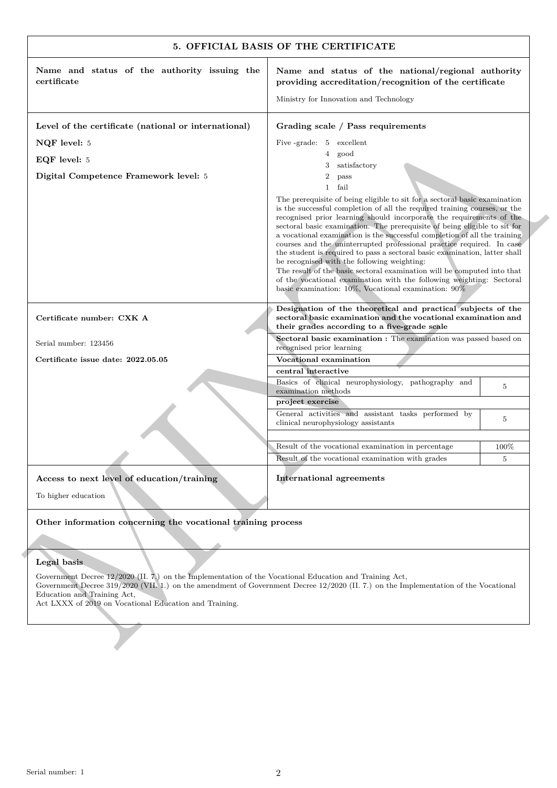| Name and status of the authority issuing the<br>certificate                                                                                                                                                                                                                                                                              | Name and status of the national/regional authority<br>providing accreditation/recognition of the certificate                                                                                                                                                                                                                                                                                                                                                                                                                                                                                                                                                                                                                                                                                                     |       |
|------------------------------------------------------------------------------------------------------------------------------------------------------------------------------------------------------------------------------------------------------------------------------------------------------------------------------------------|------------------------------------------------------------------------------------------------------------------------------------------------------------------------------------------------------------------------------------------------------------------------------------------------------------------------------------------------------------------------------------------------------------------------------------------------------------------------------------------------------------------------------------------------------------------------------------------------------------------------------------------------------------------------------------------------------------------------------------------------------------------------------------------------------------------|-------|
|                                                                                                                                                                                                                                                                                                                                          | Ministry for Innovation and Technology                                                                                                                                                                                                                                                                                                                                                                                                                                                                                                                                                                                                                                                                                                                                                                           |       |
| Level of the certificate (national or international)                                                                                                                                                                                                                                                                                     | Grading scale / Pass requirements                                                                                                                                                                                                                                                                                                                                                                                                                                                                                                                                                                                                                                                                                                                                                                                |       |
| NQF level: 5                                                                                                                                                                                                                                                                                                                             | Five -grade: 5 excellent                                                                                                                                                                                                                                                                                                                                                                                                                                                                                                                                                                                                                                                                                                                                                                                         |       |
| EQF level: 5                                                                                                                                                                                                                                                                                                                             | good<br>4                                                                                                                                                                                                                                                                                                                                                                                                                                                                                                                                                                                                                                                                                                                                                                                                        |       |
| Digital Competence Framework level: 5                                                                                                                                                                                                                                                                                                    | satisfactory<br>3<br>$\boldsymbol{2}$<br>pass                                                                                                                                                                                                                                                                                                                                                                                                                                                                                                                                                                                                                                                                                                                                                                    |       |
|                                                                                                                                                                                                                                                                                                                                          | $\mathbf{1}$<br>fail                                                                                                                                                                                                                                                                                                                                                                                                                                                                                                                                                                                                                                                                                                                                                                                             |       |
|                                                                                                                                                                                                                                                                                                                                          | The prerequisite of being eligible to sit for a sectoral basic examination<br>is the successful completion of all the required training courses, or the<br>recognised prior learning should incorporate the requirements of the<br>sectoral basic examination. The prerequisite of being eligible to sit for<br>a vocational examination is the successful completion of all the training<br>courses and the uninterrupted professional practice required. In case<br>the student is required to pass a sectoral basic examination, latter shall<br>be recognised with the following weighting:<br>The result of the basic sectoral examination will be computed into that<br>of the vocational examination with the following weighting: Sectoral<br>basic examination: $10\%$ , Vocational examination: $90\%$ |       |
| Certificate number: CXK A                                                                                                                                                                                                                                                                                                                | Designation of the theoretical and practical subjects of the<br>sectoral basic examination and the vocational examination and<br>their grades according to a five-grade scale                                                                                                                                                                                                                                                                                                                                                                                                                                                                                                                                                                                                                                    |       |
| Serial number: 123456                                                                                                                                                                                                                                                                                                                    | Sectoral basic examination : The examination was passed based on<br>recognised prior learning                                                                                                                                                                                                                                                                                                                                                                                                                                                                                                                                                                                                                                                                                                                    |       |
| Certificate issue date: 2022.05.05                                                                                                                                                                                                                                                                                                       | Vocational examination                                                                                                                                                                                                                                                                                                                                                                                                                                                                                                                                                                                                                                                                                                                                                                                           |       |
|                                                                                                                                                                                                                                                                                                                                          | central interactive                                                                                                                                                                                                                                                                                                                                                                                                                                                                                                                                                                                                                                                                                                                                                                                              |       |
|                                                                                                                                                                                                                                                                                                                                          | Basics of clinical neurophysiology, pathography and<br>examination methods                                                                                                                                                                                                                                                                                                                                                                                                                                                                                                                                                                                                                                                                                                                                       | 5     |
|                                                                                                                                                                                                                                                                                                                                          | project exercise                                                                                                                                                                                                                                                                                                                                                                                                                                                                                                                                                                                                                                                                                                                                                                                                 |       |
|                                                                                                                                                                                                                                                                                                                                          | General activities and assistant tasks performed by<br>clinical neurophysiology assistants                                                                                                                                                                                                                                                                                                                                                                                                                                                                                                                                                                                                                                                                                                                       | 5     |
|                                                                                                                                                                                                                                                                                                                                          | Result of the vocational examination in percentage                                                                                                                                                                                                                                                                                                                                                                                                                                                                                                                                                                                                                                                                                                                                                               | 100\% |
|                                                                                                                                                                                                                                                                                                                                          | Result of the vocational examination with grades                                                                                                                                                                                                                                                                                                                                                                                                                                                                                                                                                                                                                                                                                                                                                                 | 5     |
| Access to next level of education/training<br>To higher education                                                                                                                                                                                                                                                                        | <b>International agreements</b>                                                                                                                                                                                                                                                                                                                                                                                                                                                                                                                                                                                                                                                                                                                                                                                  |       |
| Other information concerning the vocational training process                                                                                                                                                                                                                                                                             |                                                                                                                                                                                                                                                                                                                                                                                                                                                                                                                                                                                                                                                                                                                                                                                                                  |       |
|                                                                                                                                                                                                                                                                                                                                          |                                                                                                                                                                                                                                                                                                                                                                                                                                                                                                                                                                                                                                                                                                                                                                                                                  |       |
| Legal basis                                                                                                                                                                                                                                                                                                                              |                                                                                                                                                                                                                                                                                                                                                                                                                                                                                                                                                                                                                                                                                                                                                                                                                  |       |
| Government Decree $12/2020$ (II. 7.) on the Implementation of the Vocational Education and Training Act,<br>Government Decree 319/2020 (VII. 1.) on the amendment of Government Decree 12/2020 (II. 7.) on the Implementation of the Vocational<br>Education and Training Act,<br>Act LXXX of 2019 on Vocational Education and Training. |                                                                                                                                                                                                                                                                                                                                                                                                                                                                                                                                                                                                                                                                                                                                                                                                                  |       |

# **Legal basis**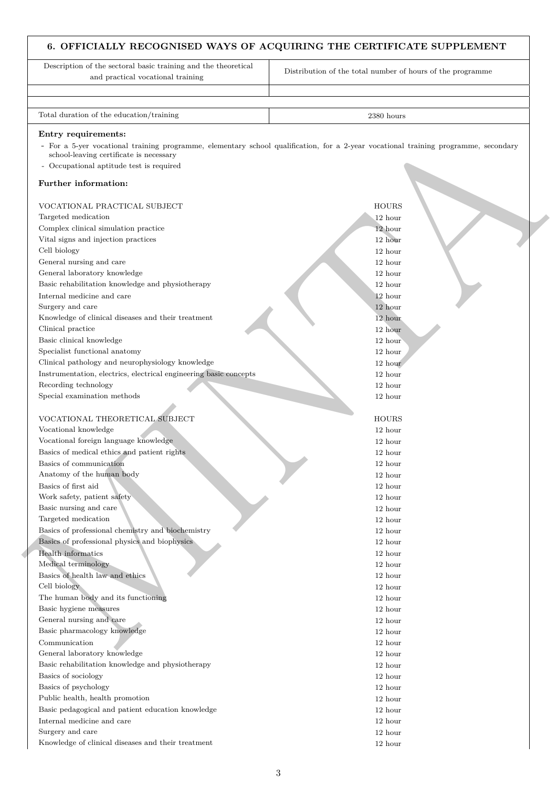# **6. OFFICIALLY RECOGNISED WAYS OF ACQUIRING THE CERTIFICATE SUPPLEMENT**

| Description of the sectoral basic training and the theoretical<br>and practical vocational training | Distribution of the total number of hours of the programme                                                                          |
|-----------------------------------------------------------------------------------------------------|-------------------------------------------------------------------------------------------------------------------------------------|
| Total duration of the education/training                                                            | 2380 hours                                                                                                                          |
|                                                                                                     |                                                                                                                                     |
| Entry requirements:                                                                                 | - For a 5-yer vocational training programme, elementary school qualification, for a 2-year vocational training programme, secondary |
| school-leaving certificate is necessary                                                             |                                                                                                                                     |
| - Occupational aptitude test is required                                                            |                                                                                                                                     |
|                                                                                                     |                                                                                                                                     |
| Further information:                                                                                |                                                                                                                                     |
| VOCATIONAL PRACTICAL SUBJECT                                                                        | <b>HOURS</b>                                                                                                                        |
| Targeted medication                                                                                 | 12 hour                                                                                                                             |
| Complex clinical simulation practice                                                                | 12 hour                                                                                                                             |
| Vital signs and injection practices                                                                 | 12 hour                                                                                                                             |
| Cell biology                                                                                        | 12 hour                                                                                                                             |
| General nursing and care                                                                            | 12 hour                                                                                                                             |
| General laboratory knowledge                                                                        | 12 hour                                                                                                                             |
| Basic rehabilitation knowledge and physiotherapy                                                    | 12 hour                                                                                                                             |
| Internal medicine and care                                                                          | 12 hour                                                                                                                             |
| Surgery and care                                                                                    | 12 hour                                                                                                                             |
| Knowledge of clinical diseases and their treatment                                                  | 12 hour                                                                                                                             |
| Clinical practice                                                                                   | 12 hour                                                                                                                             |
| Basic clinical knowledge                                                                            | 12 hour                                                                                                                             |
| Specialist functional anatomy                                                                       | 12 hour                                                                                                                             |
| Clinical pathology and neurophysiology knowledge                                                    | 12 hour                                                                                                                             |
| Instrumentation, electrics, electrical engineering basic concepts                                   | 12 hour                                                                                                                             |
| Recording technology                                                                                | 12 hour                                                                                                                             |
| Special examination methods                                                                         | 12 hour                                                                                                                             |
|                                                                                                     |                                                                                                                                     |
| VOCATIONAL THEORETICAL SUBJECT                                                                      | <b>HOURS</b>                                                                                                                        |
| Vocational knowledge<br>Vocational foreign language knowledge                                       | 12 hour                                                                                                                             |
| Basics of medical ethics and patient rights                                                         | 12 hour<br>12 hour                                                                                                                  |
| Basics of communication                                                                             | 12 hour                                                                                                                             |
| Anatomy of the human body                                                                           |                                                                                                                                     |
| Basics of first aid                                                                                 | 12 hour<br>12 hour                                                                                                                  |
| Work safety, patient safety                                                                         | 12 hour                                                                                                                             |
| Basic nursing and care                                                                              | 12 hour                                                                                                                             |
| Targeted medication                                                                                 | 12 hour                                                                                                                             |
| Basics of professional chemistry and biochemistry                                                   | 12 hour                                                                                                                             |
| Basics of professional physics and biophysics                                                       | 12 hour                                                                                                                             |
| Health informatics                                                                                  | 12 hour                                                                                                                             |
| Medical terminology                                                                                 | 12 hour                                                                                                                             |
| Basics of health law and ethics                                                                     | 12 hour                                                                                                                             |
| Cell biology                                                                                        | 12 hour                                                                                                                             |
| The human body and its functioning                                                                  | 12 hour                                                                                                                             |
| Basic hygiene measures                                                                              | 12 hour                                                                                                                             |
| General nursing and care                                                                            | 12 hour                                                                                                                             |
| Basic pharmacology knowledge                                                                        | 12 hour                                                                                                                             |
| Communication                                                                                       | 12 hour                                                                                                                             |
| General laboratory knowledge                                                                        | 12 hour                                                                                                                             |
| Basic rehabilitation knowledge and physiotherapy                                                    | 12 hour                                                                                                                             |
| Basics of sociology                                                                                 | 12 hour                                                                                                                             |
| Basics of psychology                                                                                | 12 hour                                                                                                                             |
| Public health, health promotion                                                                     | 12 hour                                                                                                                             |
| Basic pedagogical and patient education knowledge                                                   | 12 hour                                                                                                                             |
| Internal medicine and care                                                                          | 12 hour                                                                                                                             |
| Surgery and care                                                                                    | 12 hour                                                                                                                             |
| Knowledge of clinical diseases and their treatment                                                  | 12 hour                                                                                                                             |